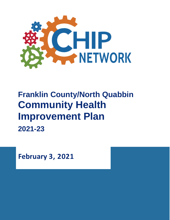

# **Franklin County/North Quabbin Community Health Improvement Plan 2021-23**

**February 3, 2021**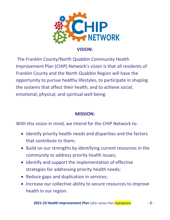

**VISION:**

The Franklin County/North Quabbin Community Health Improvement Plan (CHIP) Network's vision is that all residents of Franklin County and the North Quabbin Region will have the opportunity to pursue healthy lifestyles, to participate in shaping the systems that affect their health, and to achieve social, emotional, physical, and spiritual well-being.

## **MISSION:**

With this vision in mind, we intend for the CHIP Network to:

- Identify priority health needs and disparities and the factors that contribute to them;
- Build on our strengths by identifying current resources in the community to address priority health issues;
- Identify and support the implementation of effective strategies for addressing priority health needs;
- Reduce gaps and duplication in services;
- Increase our collective ability to secure resources to improve health in our region.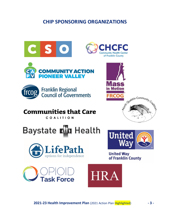## **CHIP SPONSORING ORGANIZATIONS**

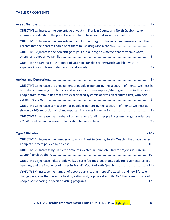#### **TABLE OF CONTENTS**

|  | OBJECTIVE 1: Increase the percentage of youth in Franklin County and North Quabbin who<br>accurately understand the potential risk of harm from youth drug and alcohol use. |  |  |  |
|--|-----------------------------------------------------------------------------------------------------------------------------------------------------------------------------|--|--|--|
|  | OBJECTIVE 2: Increase the percentage of youth in our region who get a clear message from their                                                                              |  |  |  |
|  | OBJECTIVE 3: Increase the percentage of youth in our region who feel that they have warm,                                                                                   |  |  |  |
|  | OBJECTIVE 4: Decrease the number of youth in Franklin County/North Quabbin who are                                                                                          |  |  |  |

| OBJECTIVE 1: Increase the engagement of people experiencing the spectrum of mental wellness in<br>both decision-making for planning and services, and peer support/sharing activities (with at least 5<br>people from communities that have experienced systemic oppression recruited first, who help |
|-------------------------------------------------------------------------------------------------------------------------------------------------------------------------------------------------------------------------------------------------------------------------------------------------------|
|                                                                                                                                                                                                                                                                                                       |
| OBJECTIVE 2: Increase compassion for people experiencing the spectrum of mental wellness as                                                                                                                                                                                                           |
| OBJECTIVE 3: Increase the number of organizations funding people in system navigator roles over                                                                                                                                                                                                       |

| OBJECTIVE 1: Increase the number of towns in Franklin County/ North Quabbin that have passed                                                                                                             |  |
|----------------------------------------------------------------------------------------------------------------------------------------------------------------------------------------------------------|--|
| OBJECTIVE 2: Increase by 100% the amount invested in Complete Streets projects in Franklin                                                                                                               |  |
| OBJECTIVE 3: Increase miles of sidewalks, bicycle facilities, bus stops, park improvements, street                                                                                                       |  |
| <i>OBJECTIVE 4:</i> increase the number of people participating in specific existing and new lifestyle<br>change programs that promote healthy eating and/or physical activity AND the retention rate of |  |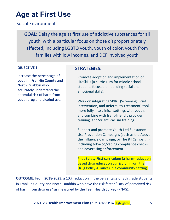## <span id="page-4-0"></span>**Age at First Use**

### Social Environment

**GOAL:** Delay the age at first use of addictive substances for all youth, with a particular focus on those disproportionately affected, including LGBTQ youth, youth of color, youth from families with low incomes, and DCF involved youth

#### <span id="page-4-1"></span>**OBJECTIVE 1:**

<span id="page-4-2"></span>Increase the percentage of youth in Franklin County and North Quabbin who accurately understand the potential risk of harm from youth drug and alcohol use.

#### **STRATEGIES:**

Promote adoption and implementation of LifeSkills (a curriculum for middle school students focused on building social and emotional skills).

Work on integrating SBIRT (Screening, Brief Intervention, and Referral to Treatment) tool more fully into clinical settings with youth, and combine with trans-friendly provider training, and/or anti-racism training.

Support and promote Youth-Led Substance Use Prevention Campaigns (such as the Above the Influence Campaign, or The 84 Campaign), including tobacco/vaping compliance checks and advertising enforcement.

Pilot Safety First curriculum (a harm-reduction based drug education curriculum from the Drug Policy Alliance) in a community setting.

**OUTCOME**: From 2018-2023, a 10% reduction in the percentage of 8th grade students in Franklin County and North Quabbin who have the risk factor "Lack of perceived risk of harm from drug use" as measured by the Teen Health Survey (PNAS).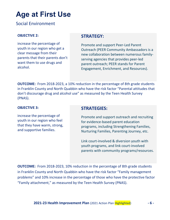## **Age at First Use**

### Social Environment

#### <span id="page-5-0"></span>**OBJECTIVE 2:**

<span id="page-5-1"></span>increase the percentage of youth in our region who get a clear message from their parents that their parents don't want them to use drugs and alcohol.

### **STRATEGY:**

Promote and support Peer-Led Parent Outreach (PEER Community Ambassadors is a new collaboration between numerous familyserving agencies that provides peer-led parent outreach; PEER stands for Parent Engagement, Enrichment, and Resources).

**OUTCOME:** From 2018-2023, a 10% reduction in the percentage of 8th grade students in Franklin County and North Quabbin who have the risk factor "Parental attitudes that don't discourage drug and alcohol use" as measured by the Teen Health Survey (PNAS).

#### <span id="page-5-2"></span>**OBJECTIVE 3:**

<span id="page-5-3"></span>increase the percentage of youth in our region who feel that they have warm, strong, and supportive families.

### **STRATEGIES:**

Promote and support outreach and recruiting for evidence-based parent education programs, including Strengthening Families, Nurturing Families, Parenting Journey, etc.

Link court-involved & diversion youth with youth programs, and link court-involved parents with community programs/resources.

**OUTCOME:** From 2018-2023, 10% reduction in the percentage of 8th grade students in Franklin County and North Quabbin who have the risk factor "Family management problems" and 10% increase in the percentage of those who have the protective factor "Family attachment," as measured by the Teen Health Survey (PNAS).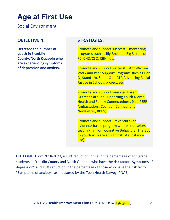## **Age at First Use**

Social Environment

### <span id="page-6-0"></span>**OBJECTIVE 4:**

<span id="page-6-1"></span>**Decrease the number of youth in Franklin County/North Quabbin who are experiencing symptoms of depression and anxiety.**

### **STRATEGIES:**

Promote and support successful mentoring programs such as Big Brothers Big Sisters of FC, CHD/CSO, CBHI, etc.

Promote and support successful Anti-Racism Work and Peer Support Programs such as Gen Q, Stand-Up, Shout Out, CTC Advancing Racial Justice in Schools project, etc.

Promote and support Peer-Led Parent Outreach around Supporting Youth Mental Health and Family Connectedness (see PEER Ambassadors, Coalition Connections Newsletter, BBBS).

Promote and support PreVenture (an evidence-based program where counselors teach skills from Cognitive Behavioral Therapy to youth who are at high risk of substance use).

**OUTCOME:** From 2018-2023, a 10% reduction in the in the percentage of 8th grade students in Franklin County and North Quabbin who have the risk factor "Symptoms of depression" and 10% reduction in the percentage of those who have the risk factor "Symptoms of anxiety," as measured by the Teen Health Survey (PNAS).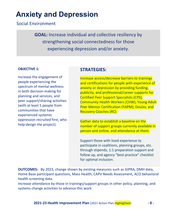## <span id="page-7-0"></span>**Anxiety and Depression**

Social Environment

**GOAL:** Increase individual and collective resiliency by strengthening social connectedness for those experiencing depression and/or anxiety.

#### <span id="page-7-1"></span>**OBJECTIVE 1:**

<span id="page-7-2"></span>Increase the engagement of people experiencing the spectrum of mental wellness in both decision-making for planning and services, and peer support/sharing activities (with at least 5 people from communities that have experienced systemic oppression recruited first, who help design the project).

### **STRATEGIES:**

Increase access/decrease barriers to trainings and certifications for people with experience of anxiety or depression by providing funding, publicity, and professional/career supports for Certified Peer Support Specialists (CPS), Community Health Workers (CHW), Young Adult Peer Mentor Certification (YAPM), Doulas, and Recovery Coaches (RC).

Gather data to establish a baseline on the number of support groups currently available in person and online, and attendance at them.

Support those with lived experience to participate in coalitions, planning groups, etc. through stipends, 1:1 preparation support and follow up, and agency "best practice" checklist for optimal inclusion.

**OUTCOMES:** By 2023, change shown by existing measures such as GIPRA, DMH data, Home Base participant questions, Mass Health, CAPV Needs Assessment, ACO behavioral health screening data.

Increase attendance by those in trainings/support groups in other policy, planning, and systems change activities to advance this work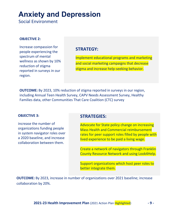## **Anxiety and Depression**

Social Environment

#### <span id="page-8-0"></span>**OBJECTIVE 2:**

<span id="page-8-1"></span>Increase compassion for people experiencing the spectrum of mental wellness as shown by 10% reduction of stigma reported in surveys in our region.

### **STRATEGY:**

Implement educational programs and marketing and social marketing campaigns that decrease stigma and increase help-seeking behavior.

**OUTCOME:** By 2023, 10% reduction of stigma reported in surveys in our region, including Annual Teen Health Survey, CAPV Needs Assessment Survey, Healthy Families data, other Communities That Care Coalition (CTC) survey

#### <span id="page-8-2"></span>**OBJECTIVE 3:**

<span id="page-8-3"></span>increase the number of organizations funding people in system navigator roles over a 2020 baseline, and increase collaboration between them.

#### **STRATEGIES:**

Advocate for State policy change on increasing Mass Health and Commercial reimbursement rates for peer support roles filled by people with lived experience to be paid a living wage.

Create a network of navigators through Franklin County Resource Network and using Look4Help.

Support organizations which host peer roles to better integrate them.

**OUTCOME:** By 2023, increase in number of organizations over 2021 baseline; increase collaboration by 20%.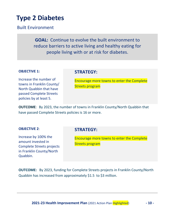## <span id="page-9-0"></span>**Type 2 Diabetes**

Built Environment

**GOAL:** Continue to evolve the built environment to reduce barriers to active living and healthy eating for people living with or at risk for diabetes.

#### <span id="page-9-1"></span>**OBJECTIVE 1:**

#### **STRATEGY:**

<span id="page-9-2"></span>Increase the number of towns in Franklin County/ North Quabbin that have passed Complete Streets policies by at least 5.

Encourage more towns to enter the Complete Streets program

**OUTCOME**: By 2023, the number of towns in Franklin County/North Quabbin that have passed Complete Streets policies is 16 or more.

#### <span id="page-9-3"></span>**OBJECTIVE 2**:

<span id="page-9-4"></span>Increase by 100% the amount invested in Complete Streets projects in Franklin County/North Quabbin.

### **STRATEGY:**

Encourage more towns to enter the Complete Streets program

**OUTCOME:** By 2023, funding for Complete Streets projects in Franklin County/North Quabbin has increased from approximately \$1.5 to \$3 million.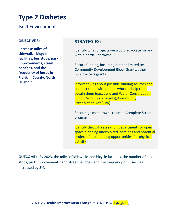## **Type 2 Diabetes**

Built Environment

#### <span id="page-10-0"></span>**OBJECTIVE 3:**

<span id="page-10-1"></span>**Increase miles of sidewalks, bicycle facilities, bus stops, park improvements, street benches, and the frequency of buses in Franklin County/North Quabbin.**

#### **STRATEGIES:**

Identify what projects we would advocate for and within particular towns.

Secure funding, including but not limited to: Community Development Block Grants/other public access grants

Inform towns about possible funding sources and connect them with people who can help them obtain them (e.g., Land and Water Conservation Fund (LWCF), Park Grants), Community Preservation Act (CPA)

Encourage more towns to enter Complete Streets program

Identify through recreation departments or open space planning unexploited locations and potential projects for expanding opportunities for physical activity

**OUTCOME:** By 2023, the miles of sidewalks and bicycle facilities, the number of bus stops, park improvements, and street benches, and the frequency of buses has increased by 5%.